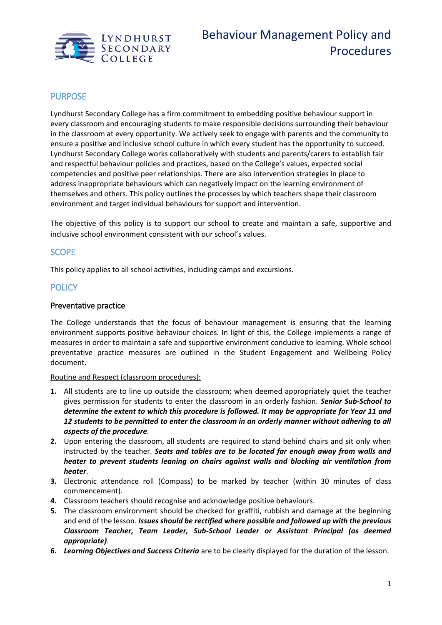

# PURPOSE

Lyndhurst Secondary College has a firm commitment to embedding positive behaviour support in every classroom and encouraging students to make responsible decisions surrounding their behaviour in the classroom at every opportunity. We actively seek to engage with parents and the community to ensure a positive and inclusive school culture in which every student has the opportunity to succeed. Lyndhurst Secondary College works collaboratively with students and parents/carers to establish fair and respectful behaviour policies and practices, based on the College's values, expected social competencies and positive peer relationships. There are also intervention strategies in place to address inappropriate behaviours which can negatively impact on the learning environment of themselves and others. This policy outlines the processes by which teachers shape their classroom environment and target individual behaviours for support and intervention.

The objective of this policy is to support our school to create and maintain a safe, supportive and inclusive school environment consistent with our school's values.

## **SCOPE**

This policy applies to all school activities, including camps and excursions.

### **POLICY**

### Preventative practice

The College understands that the focus of behaviour management is ensuring that the learning environment supports positive behaviour choices. In light of this, the College implements a range of measures in order to maintain a safe and supportive environment conducive to learning. Whole school preventative practice measures are outlined in the Student Engagement and Wellbeing Policy document.

#### Routine and Respect (classroom procedures):

- **1.** All students are to line up outside the classroom; when deemed appropriately quiet the teacher gives permission for students to enter the classroom in an orderly fashion. *Senior Sub-School to determine the extent to which this procedure is followed. It may be appropriate for Year 11 and 12 students to be permitted to enter the classroom in an orderly manner without adhering to all aspects of the procedure*.
- **2.** Upon entering the classroom, all students are required to stand behind chairs and sit only when instructed by the teacher. *Seats and tables are to be located far enough away from walls and heater to prevent students leaning on chairs against walls and blocking air ventilation from heater*.
- **3.** Electronic attendance roll (Compass) to be marked by teacher (within 30 minutes of class commencement).
- **4.** Classroom teachers should recognise and acknowledge positive behaviours.
- **5.** The classroom environment should be checked for graffiti, rubbish and damage at the beginning and end of the lesson. *Issues should be rectified where possible and followed up with the previous Classroom Teacher, Team Leader, Sub-School Leader or Assistant Principal (as deemed appropriate)*.
- **6.** *Learning Objectives and Success Criteria* are to be clearly displayed for the duration of the lesson.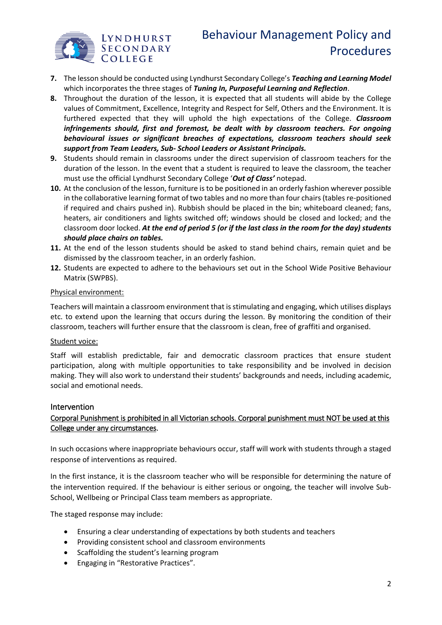

- **7.** The lesson should be conducted using Lyndhurst Secondary College's *Teaching and Learning Model*  which incorporates the three stages of *Tuning In, Purposeful Learning and Reflection*.
- **8.** Throughout the duration of the lesson, it is expected that all students will abide by the College values of Commitment, Excellence, Integrity and Respect for Self, Others and the Environment. It is furthered expected that they will uphold the high expectations of the College. *Classroom infringements should, first and foremost, be dealt with by classroom teachers. For ongoing behavioural issues or significant breaches of expectations, classroom teachers should seek support from Team Leaders, Sub- School Leaders or Assistant Principals.*
- **9.** Students should remain in classrooms under the direct supervision of classroom teachers for the duration of the lesson. In the event that a student is required to leave the classroom, the teacher must use the official Lyndhurst Secondary College '*Out of Class'* notepad.
- **10.** At the conclusion of the lesson, furniture is to be positioned in an orderly fashion wherever possible in the collaborative learning format of two tables and no more than four chairs (tables re-positioned if required and chairs pushed in). Rubbish should be placed in the bin; whiteboard cleaned; fans, heaters, air conditioners and lights switched off; windows should be closed and locked; and the classroom door locked. *At the end of period 5 (or if the last class in the room for the day) students should place chairs on tables.*
- **11.** At the end of the lesson students should be asked to stand behind chairs, remain quiet and be dismissed by the classroom teacher, in an orderly fashion.
- **12.** Students are expected to adhere to the behaviours set out in the School Wide Positive Behaviour Matrix (SWPBS).

### Physical environment:

Teachers will maintain a classroom environment that is stimulating and engaging, which utilises displays etc. to extend upon the learning that occurs during the lesson. By monitoring the condition of their classroom, teachers will further ensure that the classroom is clean, free of graffiti and organised.

#### Student voice:

Staff will establish predictable, fair and democratic classroom practices that ensure student participation, along with multiple opportunities to take responsibility and be involved in decision making. They will also work to understand their students' backgrounds and needs, including academic, social and emotional needs.

#### Intervention

### Corporal Punishment is prohibited in all Victorian schools. Corporal punishment must NOT be used at this College under any circumstances.

In such occasions where inappropriate behaviours occur, staff will work with students through a staged response of interventions as required.

In the first instance, it is the classroom teacher who will be responsible for determining the nature of the intervention required. If the behaviour is either serious or ongoing, the teacher will involve Sub-School, Wellbeing or Principal Class team members as appropriate.

The staged response may include:

- Ensuring a clear understanding of expectations by both students and teachers
- Providing consistent school and classroom environments
- Scaffolding the student's learning program
- Engaging in "Restorative Practices".